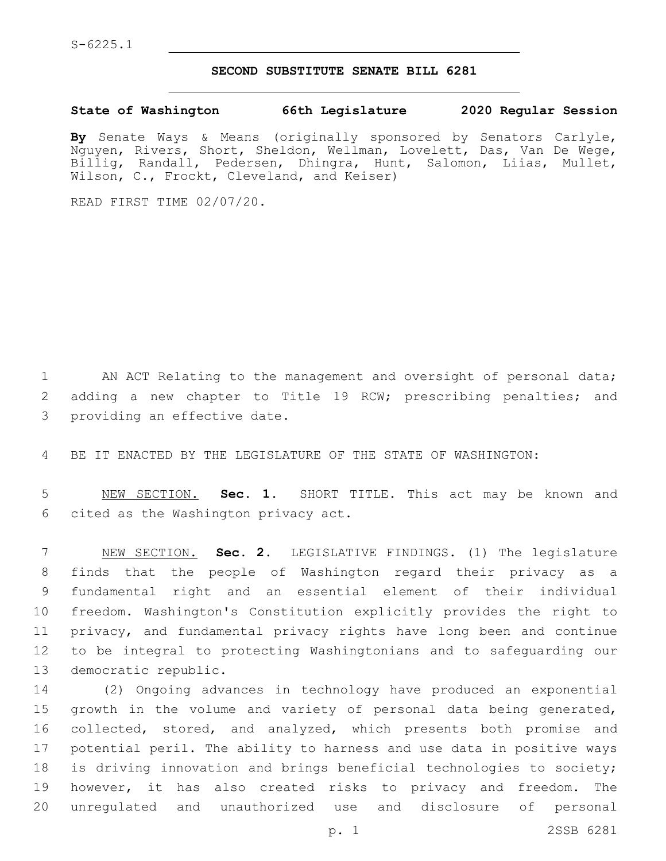## **SECOND SUBSTITUTE SENATE BILL 6281**

**State of Washington 66th Legislature 2020 Regular Session**

**By** Senate Ways & Means (originally sponsored by Senators Carlyle, Nguyen, Rivers, Short, Sheldon, Wellman, Lovelett, Das, Van De Wege, Billig, Randall, Pedersen, Dhingra, Hunt, Salomon, Liias, Mullet, Wilson, C., Frockt, Cleveland, and Keiser)

READ FIRST TIME 02/07/20.

1 AN ACT Relating to the management and oversight of personal data; 2 adding a new chapter to Title 19 RCW; prescribing penalties; and 3 providing an effective date.

4 BE IT ENACTED BY THE LEGISLATURE OF THE STATE OF WASHINGTON:

5 NEW SECTION. **Sec. 1.** SHORT TITLE. This act may be known and 6 cited as the Washington privacy act.

 NEW SECTION. **Sec. 2.** LEGISLATIVE FINDINGS. (1) The legislature finds that the people of Washington regard their privacy as a fundamental right and an essential element of their individual freedom. Washington's Constitution explicitly provides the right to privacy, and fundamental privacy rights have long been and continue to be integral to protecting Washingtonians and to safeguarding our democratic republic.

 (2) Ongoing advances in technology have produced an exponential 15 growth in the volume and variety of personal data being generated, 16 collected, stored, and analyzed, which presents both promise and potential peril. The ability to harness and use data in positive ways is driving innovation and brings beneficial technologies to society; however, it has also created risks to privacy and freedom. The unregulated and unauthorized use and disclosure of personal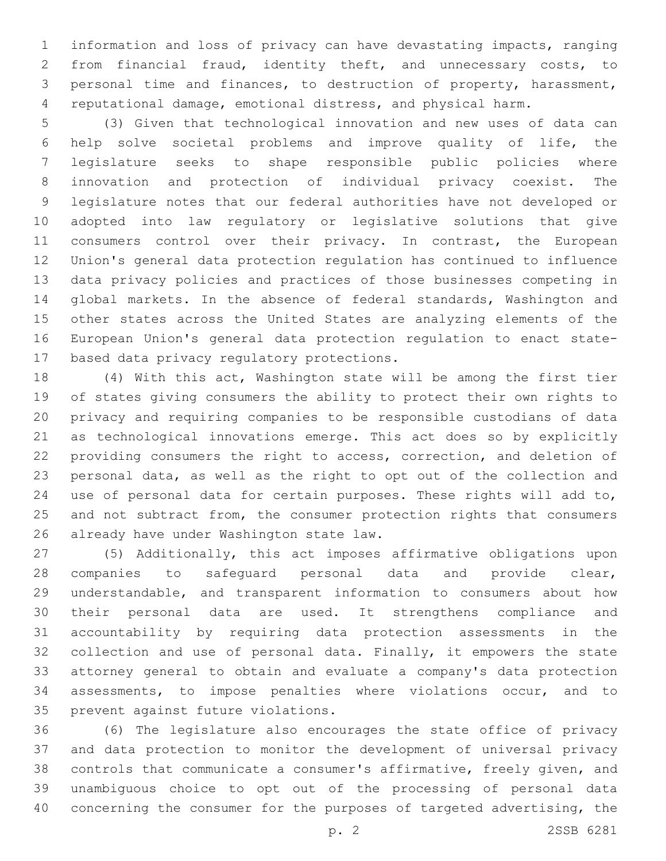information and loss of privacy can have devastating impacts, ranging from financial fraud, identity theft, and unnecessary costs, to personal time and finances, to destruction of property, harassment, reputational damage, emotional distress, and physical harm.

 (3) Given that technological innovation and new uses of data can help solve societal problems and improve quality of life, the legislature seeks to shape responsible public policies where innovation and protection of individual privacy coexist. The legislature notes that our federal authorities have not developed or adopted into law regulatory or legislative solutions that give 11 consumers control over their privacy. In contrast, the European Union's general data protection regulation has continued to influence data privacy policies and practices of those businesses competing in global markets. In the absence of federal standards, Washington and other states across the United States are analyzing elements of the European Union's general data protection regulation to enact state-17 based data privacy regulatory protections.

 (4) With this act, Washington state will be among the first tier of states giving consumers the ability to protect their own rights to privacy and requiring companies to be responsible custodians of data as technological innovations emerge. This act does so by explicitly providing consumers the right to access, correction, and deletion of personal data, as well as the right to opt out of the collection and use of personal data for certain purposes. These rights will add to, 25 and not subtract from, the consumer protection rights that consumers 26 already have under Washington state law.

 (5) Additionally, this act imposes affirmative obligations upon companies to safeguard personal data and provide clear, understandable, and transparent information to consumers about how their personal data are used. It strengthens compliance and accountability by requiring data protection assessments in the 32 collection and use of personal data. Finally, it empowers the state attorney general to obtain and evaluate a company's data protection assessments, to impose penalties where violations occur, and to 35 prevent against future violations.

 (6) The legislature also encourages the state office of privacy and data protection to monitor the development of universal privacy controls that communicate a consumer's affirmative, freely given, and unambiguous choice to opt out of the processing of personal data concerning the consumer for the purposes of targeted advertising, the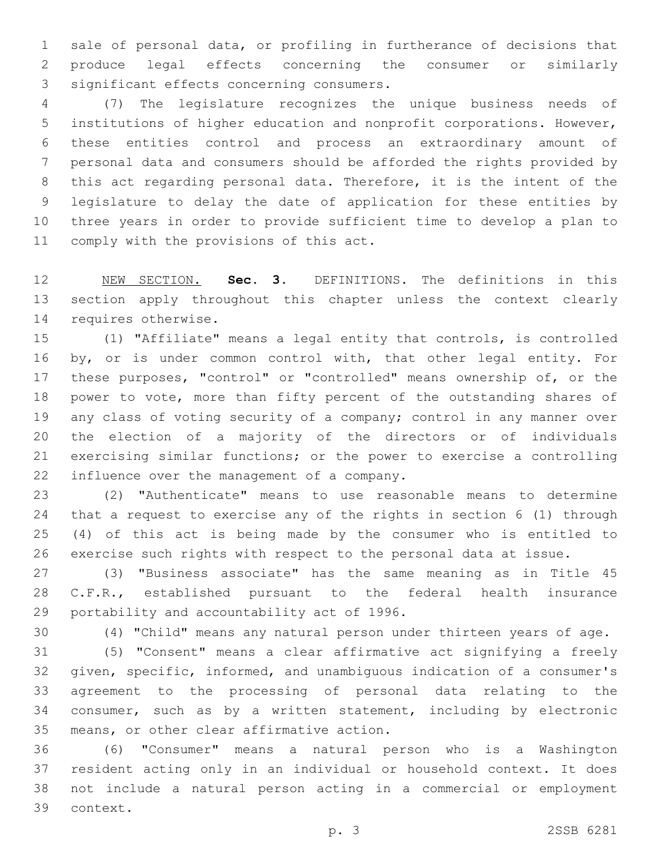sale of personal data, or profiling in furtherance of decisions that produce legal effects concerning the consumer or similarly 3 significant effects concerning consumers.

 (7) The legislature recognizes the unique business needs of institutions of higher education and nonprofit corporations. However, these entities control and process an extraordinary amount of personal data and consumers should be afforded the rights provided by this act regarding personal data. Therefore, it is the intent of the legislature to delay the date of application for these entities by three years in order to provide sufficient time to develop a plan to 11 comply with the provisions of this act.

 NEW SECTION. **Sec. 3.** DEFINITIONS. The definitions in this section apply throughout this chapter unless the context clearly requires otherwise.

 (1) "Affiliate" means a legal entity that controls, is controlled 16 by, or is under common control with, that other legal entity. For these purposes, "control" or "controlled" means ownership of, or the power to vote, more than fifty percent of the outstanding shares of any class of voting security of a company; control in any manner over the election of a majority of the directors or of individuals exercising similar functions; or the power to exercise a controlling 22 influence over the management of a company.

 (2) "Authenticate" means to use reasonable means to determine that a request to exercise any of the rights in section 6 (1) through (4) of this act is being made by the consumer who is entitled to exercise such rights with respect to the personal data at issue.

 (3) "Business associate" has the same meaning as in Title 45 C.F.R., established pursuant to the federal health insurance 29 portability and accountability act of 1996.

(4) "Child" means any natural person under thirteen years of age.

 (5) "Consent" means a clear affirmative act signifying a freely given, specific, informed, and unambiguous indication of a consumer's agreement to the processing of personal data relating to the consumer, such as by a written statement, including by electronic 35 means, or other clear affirmative action.

 (6) "Consumer" means a natural person who is a Washington resident acting only in an individual or household context. It does not include a natural person acting in a commercial or employment 39 context.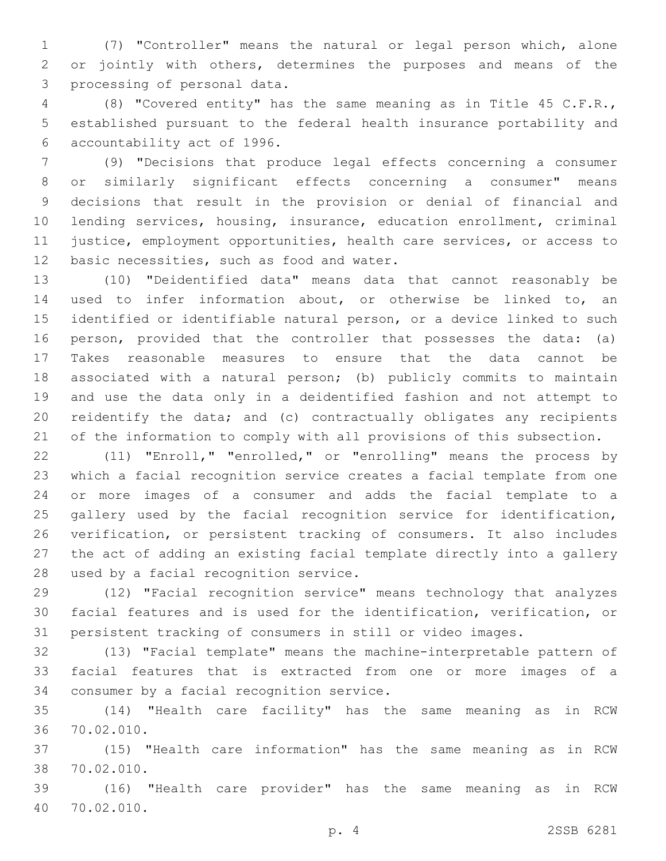(7) "Controller" means the natural or legal person which, alone or jointly with others, determines the purposes and means of the 3 processing of personal data.

 (8) "Covered entity" has the same meaning as in Title 45 C.F.R., established pursuant to the federal health insurance portability and 6 accountability act of 1996.

 (9) "Decisions that produce legal effects concerning a consumer or similarly significant effects concerning a consumer" means decisions that result in the provision or denial of financial and lending services, housing, insurance, education enrollment, criminal justice, employment opportunities, health care services, or access to 12 basic necessities, such as food and water.

 (10) "Deidentified data" means data that cannot reasonably be used to infer information about, or otherwise be linked to, an identified or identifiable natural person, or a device linked to such person, provided that the controller that possesses the data: (a) Takes reasonable measures to ensure that the data cannot be associated with a natural person; (b) publicly commits to maintain and use the data only in a deidentified fashion and not attempt to reidentify the data; and (c) contractually obligates any recipients of the information to comply with all provisions of this subsection.

 (11) "Enroll," "enrolled," or "enrolling" means the process by which a facial recognition service creates a facial template from one or more images of a consumer and adds the facial template to a gallery used by the facial recognition service for identification, verification, or persistent tracking of consumers. It also includes the act of adding an existing facial template directly into a gallery 28 used by a facial recognition service.

 (12) "Facial recognition service" means technology that analyzes facial features and is used for the identification, verification, or persistent tracking of consumers in still or video images.

 (13) "Facial template" means the machine-interpretable pattern of facial features that is extracted from one or more images of a 34 consumer by a facial recognition service.

 (14) "Health care facility" has the same meaning as in RCW 70.02.010.36

 (15) "Health care information" has the same meaning as in RCW 70.02.010.38

 (16) "Health care provider" has the same meaning as in RCW 70.02.010.40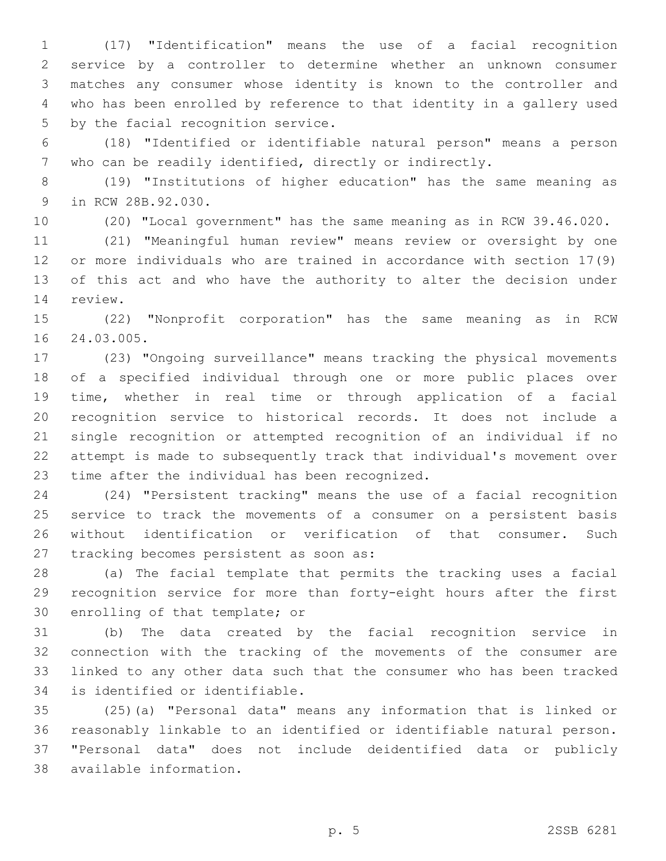(17) "Identification" means the use of a facial recognition service by a controller to determine whether an unknown consumer matches any consumer whose identity is known to the controller and who has been enrolled by reference to that identity in a gallery used 5 by the facial recognition service.

 (18) "Identified or identifiable natural person" means a person who can be readily identified, directly or indirectly.

 (19) "Institutions of higher education" has the same meaning as 9 in RCW 28B.92.030.

(20) "Local government" has the same meaning as in RCW 39.46.020.

 (21) "Meaningful human review" means review or oversight by one or more individuals who are trained in accordance with section 17(9) of this act and who have the authority to alter the decision under 14 review.

 (22) "Nonprofit corporation" has the same meaning as in RCW 16 24.03.005.

 (23) "Ongoing surveillance" means tracking the physical movements of a specified individual through one or more public places over time, whether in real time or through application of a facial recognition service to historical records. It does not include a single recognition or attempted recognition of an individual if no attempt is made to subsequently track that individual's movement over 23 time after the individual has been recognized.

 (24) "Persistent tracking" means the use of a facial recognition service to track the movements of a consumer on a persistent basis without identification or verification of that consumer. Such 27 tracking becomes persistent as soon as:

 (a) The facial template that permits the tracking uses a facial recognition service for more than forty-eight hours after the first 30 enrolling of that template; or

 (b) The data created by the facial recognition service in connection with the tracking of the movements of the consumer are linked to any other data such that the consumer who has been tracked 34 is identified or identifiable.

 (25)(a) "Personal data" means any information that is linked or reasonably linkable to an identified or identifiable natural person. "Personal data" does not include deidentified data or publicly available information.38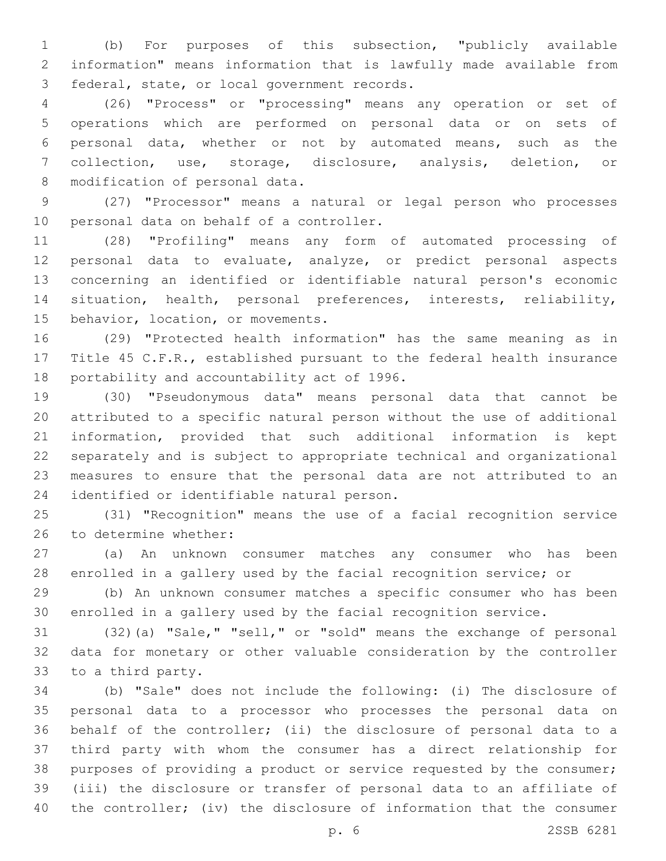(b) For purposes of this subsection, "publicly available information" means information that is lawfully made available from 3 federal, state, or local government records.

 (26) "Process" or "processing" means any operation or set of operations which are performed on personal data or on sets of personal data, whether or not by automated means, such as the collection, use, storage, disclosure, analysis, deletion, or 8 modification of personal data.

 (27) "Processor" means a natural or legal person who processes 10 personal data on behalf of a controller.

 (28) "Profiling" means any form of automated processing of personal data to evaluate, analyze, or predict personal aspects concerning an identified or identifiable natural person's economic situation, health, personal preferences, interests, reliability, 15 behavior, location, or movements.

 (29) "Protected health information" has the same meaning as in Title 45 C.F.R., established pursuant to the federal health insurance 18 portability and accountability act of 1996.

 (30) "Pseudonymous data" means personal data that cannot be attributed to a specific natural person without the use of additional information, provided that such additional information is kept separately and is subject to appropriate technical and organizational measures to ensure that the personal data are not attributed to an 24 identified or identifiable natural person.

 (31) "Recognition" means the use of a facial recognition service 26 to determine whether:

 (a) An unknown consumer matches any consumer who has been enrolled in a gallery used by the facial recognition service; or

 (b) An unknown consumer matches a specific consumer who has been enrolled in a gallery used by the facial recognition service.

 (32)(a) "Sale," "sell," or "sold" means the exchange of personal data for monetary or other valuable consideration by the controller 33 to a third party.

 (b) "Sale" does not include the following: (i) The disclosure of personal data to a processor who processes the personal data on behalf of the controller; (ii) the disclosure of personal data to a third party with whom the consumer has a direct relationship for purposes of providing a product or service requested by the consumer; (iii) the disclosure or transfer of personal data to an affiliate of the controller; (iv) the disclosure of information that the consumer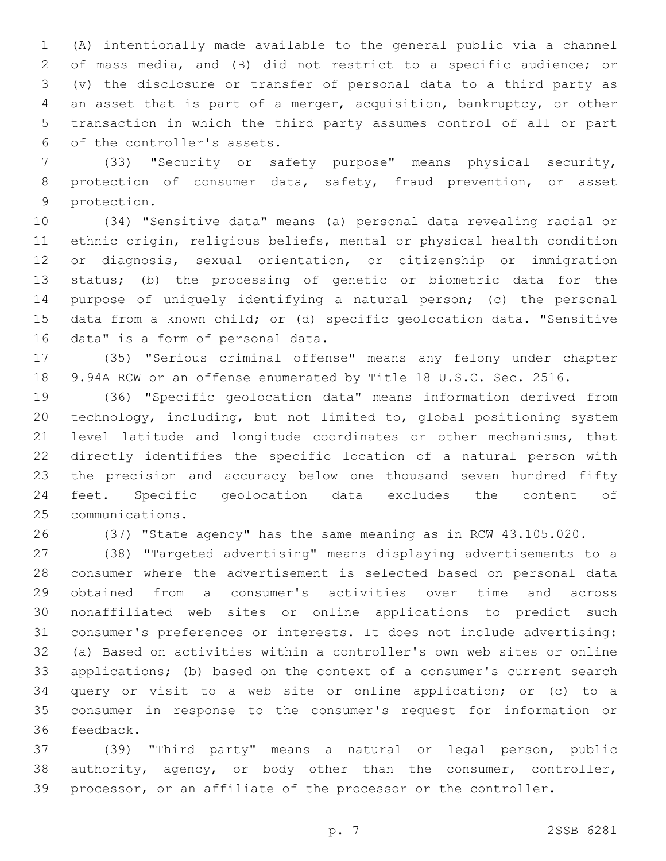(A) intentionally made available to the general public via a channel of mass media, and (B) did not restrict to a specific audience; or (v) the disclosure or transfer of personal data to a third party as an asset that is part of a merger, acquisition, bankruptcy, or other transaction in which the third party assumes control of all or part 6 of the controller's assets.

 (33) "Security or safety purpose" means physical security, protection of consumer data, safety, fraud prevention, or asset 9 protection.

 (34) "Sensitive data" means (a) personal data revealing racial or ethnic origin, religious beliefs, mental or physical health condition or diagnosis, sexual orientation, or citizenship or immigration status; (b) the processing of genetic or biometric data for the purpose of uniquely identifying a natural person; (c) the personal data from a known child; or (d) specific geolocation data. "Sensitive 16 data" is a form of personal data.

 (35) "Serious criminal offense" means any felony under chapter 9.94A RCW or an offense enumerated by Title 18 U.S.C. Sec. 2516.

 (36) "Specific geolocation data" means information derived from technology, including, but not limited to, global positioning system level latitude and longitude coordinates or other mechanisms, that directly identifies the specific location of a natural person with the precision and accuracy below one thousand seven hundred fifty feet. Specific geolocation data excludes the content of 25 communications.

(37) "State agency" has the same meaning as in RCW 43.105.020.

 (38) "Targeted advertising" means displaying advertisements to a consumer where the advertisement is selected based on personal data obtained from a consumer's activities over time and across nonaffiliated web sites or online applications to predict such consumer's preferences or interests. It does not include advertising: (a) Based on activities within a controller's own web sites or online applications; (b) based on the context of a consumer's current search query or visit to a web site or online application; or (c) to a consumer in response to the consumer's request for information or 36 feedback.

 (39) "Third party" means a natural or legal person, public authority, agency, or body other than the consumer, controller, processor, or an affiliate of the processor or the controller.

p. 7 2SSB 6281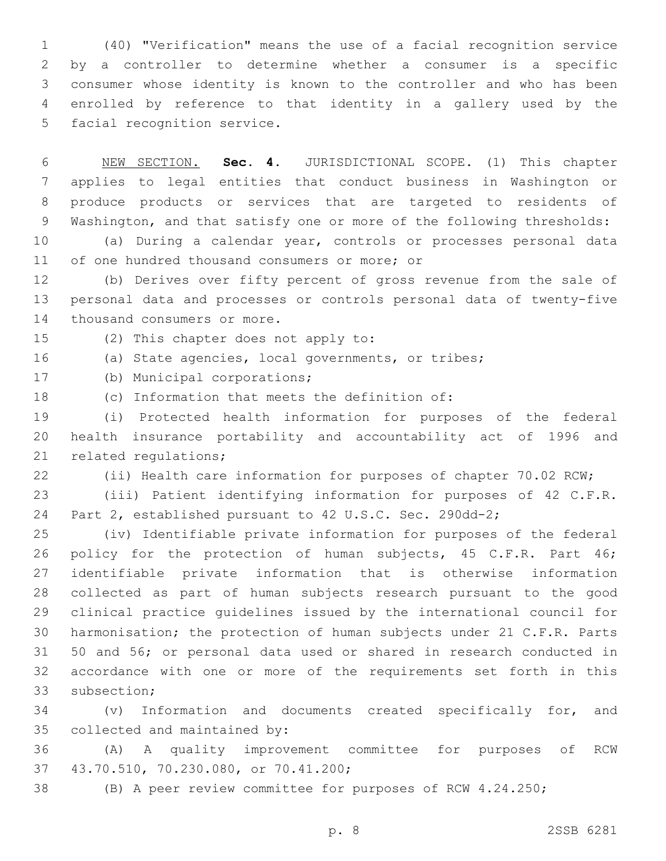(40) "Verification" means the use of a facial recognition service by a controller to determine whether a consumer is a specific consumer whose identity is known to the controller and who has been enrolled by reference to that identity in a gallery used by the 5 facial recognition service.

 NEW SECTION. **Sec. 4.** JURISDICTIONAL SCOPE. (1) This chapter applies to legal entities that conduct business in Washington or produce products or services that are targeted to residents of Washington, and that satisfy one or more of the following thresholds:

 (a) During a calendar year, controls or processes personal data 11 of one hundred thousand consumers or more; or

 (b) Derives over fifty percent of gross revenue from the sale of personal data and processes or controls personal data of twenty-five 14 thousand consumers or more.

15 (2) This chapter does not apply to:

(a) State agencies, local governments, or tribes;

17 (b) Municipal corporations;

18 (c) Information that meets the definition of:

 (i) Protected health information for purposes of the federal health insurance portability and accountability act of 1996 and 21 related requlations;

(ii) Health care information for purposes of chapter 70.02 RCW;

 (iii) Patient identifying information for purposes of 42 C.F.R. Part 2, established pursuant to 42 U.S.C. Sec. 290dd-2;

 (iv) Identifiable private information for purposes of the federal 26 policy for the protection of human subjects, 45 C.F.R. Part 46; identifiable private information that is otherwise information collected as part of human subjects research pursuant to the good clinical practice guidelines issued by the international council for harmonisation; the protection of human subjects under 21 C.F.R. Parts 50 and 56; or personal data used or shared in research conducted in accordance with one or more of the requirements set forth in this 33 subsection:

 (v) Information and documents created specifically for, and 35 collected and maintained by:

 (A) A quality improvement committee for purposes of RCW 43.70.510, 70.230.080, or 70.41.200;37

(B) A peer review committee for purposes of RCW 4.24.250;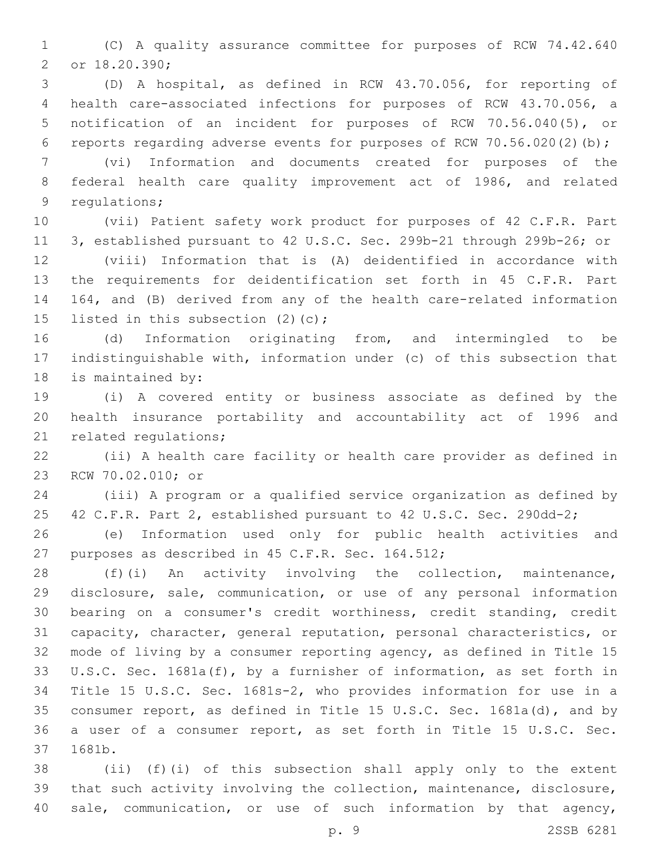(C) A quality assurance committee for purposes of RCW 74.42.640 2 or 18.20.390;

 (D) A hospital, as defined in RCW 43.70.056, for reporting of health care-associated infections for purposes of RCW 43.70.056, a notification of an incident for purposes of RCW 70.56.040(5), or reports regarding adverse events for purposes of RCW 70.56.020(2)(b);

 (vi) Information and documents created for purposes of the federal health care quality improvement act of 1986, and related 9 requlations;

 (vii) Patient safety work product for purposes of 42 C.F.R. Part 3, established pursuant to 42 U.S.C. Sec. 299b-21 through 299b-26; or

 (viii) Information that is (A) deidentified in accordance with the requirements for deidentification set forth in 45 C.F.R. Part 164, and (B) derived from any of the health care-related information 15 listed in this subsection  $(2)(c)$ ;

 (d) Information originating from, and intermingled to be indistinguishable with, information under (c) of this subsection that 18 is maintained by:

 (i) A covered entity or business associate as defined by the health insurance portability and accountability act of 1996 and 21 related regulations;

 (ii) A health care facility or health care provider as defined in 23 RCW 70.02.010; or

 (iii) A program or a qualified service organization as defined by 42 C.F.R. Part 2, established pursuant to 42 U.S.C. Sec. 290dd-2;

 (e) Information used only for public health activities and 27 purposes as described in 45 C.F.R. Sec. 164.512;

 (f)(i) An activity involving the collection, maintenance, disclosure, sale, communication, or use of any personal information bearing on a consumer's credit worthiness, credit standing, credit capacity, character, general reputation, personal characteristics, or mode of living by a consumer reporting agency, as defined in Title 15 U.S.C. Sec. 1681a(f), by a furnisher of information, as set forth in Title 15 U.S.C. Sec. 1681s-2, who provides information for use in a consumer report, as defined in Title 15 U.S.C. Sec. 1681a(d), and by a user of a consumer report, as set forth in Title 15 U.S.C. Sec. 37 1681b.

 (ii) (f)(i) of this subsection shall apply only to the extent that such activity involving the collection, maintenance, disclosure, sale, communication, or use of such information by that agency,

p. 9 2SSB 6281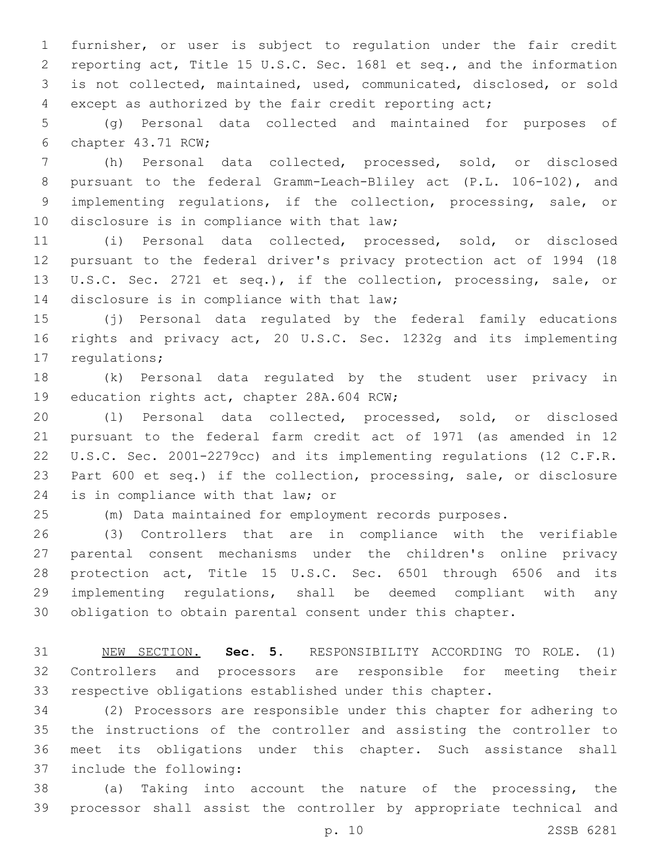furnisher, or user is subject to regulation under the fair credit reporting act, Title 15 U.S.C. Sec. 1681 et seq., and the information is not collected, maintained, used, communicated, disclosed, or sold except as authorized by the fair credit reporting act;

 (g) Personal data collected and maintained for purposes of 6 chapter 43.71 RCW;

 (h) Personal data collected, processed, sold, or disclosed pursuant to the federal Gramm-Leach-Bliley act (P.L. 106-102), and implementing regulations, if the collection, processing, sale, or 10 disclosure is in compliance with that law;

 (i) Personal data collected, processed, sold, or disclosed pursuant to the federal driver's privacy protection act of 1994 (18 U.S.C. Sec. 2721 et seq.), if the collection, processing, sale, or 14 disclosure is in compliance with that law;

 (j) Personal data regulated by the federal family educations rights and privacy act, 20 U.S.C. Sec. 1232g and its implementing 17 regulations;

 (k) Personal data regulated by the student user privacy in 19 education rights act, chapter 28A.604 RCW;

 (l) Personal data collected, processed, sold, or disclosed pursuant to the federal farm credit act of 1971 (as amended in 12 U.S.C. Sec. 2001-2279cc) and its implementing regulations (12 C.F.R. Part 600 et seq.) if the collection, processing, sale, or disclosure 24 is in compliance with that law; or

(m) Data maintained for employment records purposes.

 (3) Controllers that are in compliance with the verifiable parental consent mechanisms under the children's online privacy protection act, Title 15 U.S.C. Sec. 6501 through 6506 and its implementing regulations, shall be deemed compliant with any obligation to obtain parental consent under this chapter.

 NEW SECTION. **Sec. 5.** RESPONSIBILITY ACCORDING TO ROLE. (1) Controllers and processors are responsible for meeting their respective obligations established under this chapter.

 (2) Processors are responsible under this chapter for adhering to the instructions of the controller and assisting the controller to meet its obligations under this chapter. Such assistance shall 37 include the following:

 (a) Taking into account the nature of the processing, the processor shall assist the controller by appropriate technical and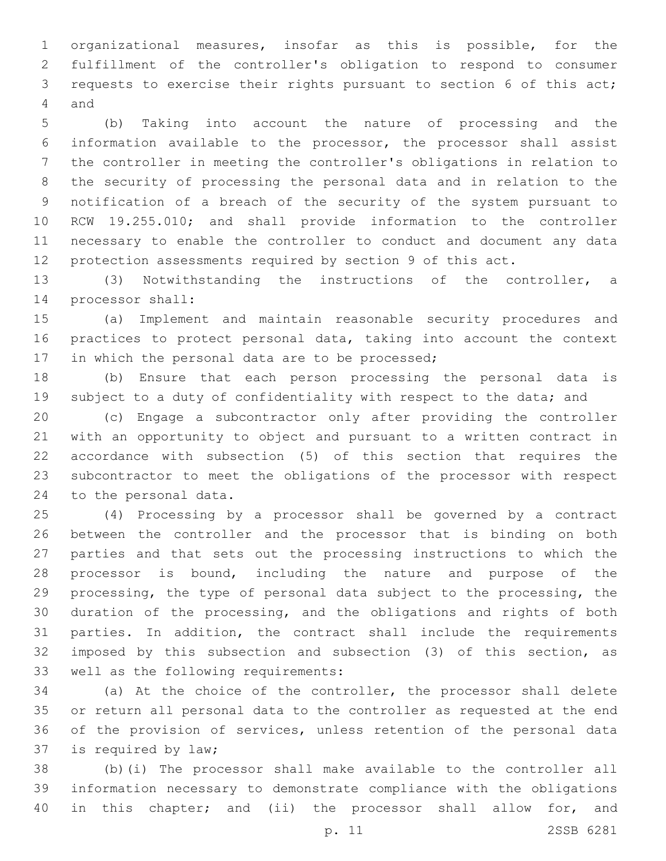organizational measures, insofar as this is possible, for the fulfillment of the controller's obligation to respond to consumer requests to exercise their rights pursuant to section 6 of this act; 4 and

 (b) Taking into account the nature of processing and the information available to the processor, the processor shall assist the controller in meeting the controller's obligations in relation to the security of processing the personal data and in relation to the notification of a breach of the security of the system pursuant to RCW 19.255.010; and shall provide information to the controller necessary to enable the controller to conduct and document any data protection assessments required by section 9 of this act.

 (3) Notwithstanding the instructions of the controller, a 14 processor shall:

 (a) Implement and maintain reasonable security procedures and practices to protect personal data, taking into account the context 17 in which the personal data are to be processed;

 (b) Ensure that each person processing the personal data is 19 subject to a duty of confidentiality with respect to the data; and

 (c) Engage a subcontractor only after providing the controller with an opportunity to object and pursuant to a written contract in accordance with subsection (5) of this section that requires the subcontractor to meet the obligations of the processor with respect 24 to the personal data.

 (4) Processing by a processor shall be governed by a contract between the controller and the processor that is binding on both parties and that sets out the processing instructions to which the processor is bound, including the nature and purpose of the processing, the type of personal data subject to the processing, the duration of the processing, and the obligations and rights of both parties. In addition, the contract shall include the requirements imposed by this subsection and subsection (3) of this section, as 33 well as the following requirements:

 (a) At the choice of the controller, the processor shall delete or return all personal data to the controller as requested at the end of the provision of services, unless retention of the personal data 37 is required by law;

 (b)(i) The processor shall make available to the controller all information necessary to demonstrate compliance with the obligations 40 in this chapter; and (ii) the processor shall allow for, and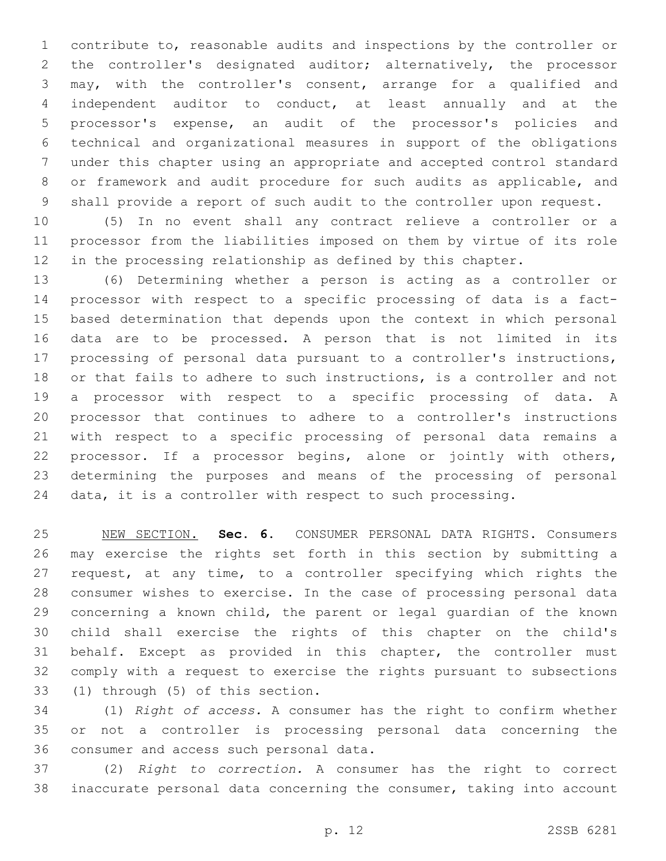contribute to, reasonable audits and inspections by the controller or the controller's designated auditor; alternatively, the processor may, with the controller's consent, arrange for a qualified and independent auditor to conduct, at least annually and at the processor's expense, an audit of the processor's policies and technical and organizational measures in support of the obligations under this chapter using an appropriate and accepted control standard or framework and audit procedure for such audits as applicable, and shall provide a report of such audit to the controller upon request.

 (5) In no event shall any contract relieve a controller or a processor from the liabilities imposed on them by virtue of its role in the processing relationship as defined by this chapter.

 (6) Determining whether a person is acting as a controller or processor with respect to a specific processing of data is a fact- based determination that depends upon the context in which personal data are to be processed. A person that is not limited in its processing of personal data pursuant to a controller's instructions, or that fails to adhere to such instructions, is a controller and not a processor with respect to a specific processing of data. A processor that continues to adhere to a controller's instructions with respect to a specific processing of personal data remains a processor. If a processor begins, alone or jointly with others, determining the purposes and means of the processing of personal data, it is a controller with respect to such processing.

 NEW SECTION. **Sec. 6.** CONSUMER PERSONAL DATA RIGHTS. Consumers may exercise the rights set forth in this section by submitting a request, at any time, to a controller specifying which rights the consumer wishes to exercise. In the case of processing personal data concerning a known child, the parent or legal guardian of the known child shall exercise the rights of this chapter on the child's behalf. Except as provided in this chapter, the controller must comply with a request to exercise the rights pursuant to subsections (1) through (5) of this section.

 (1) *Right of access.* A consumer has the right to confirm whether or not a controller is processing personal data concerning the 36 consumer and access such personal data.

 (2) *Right to correction.* A consumer has the right to correct inaccurate personal data concerning the consumer, taking into account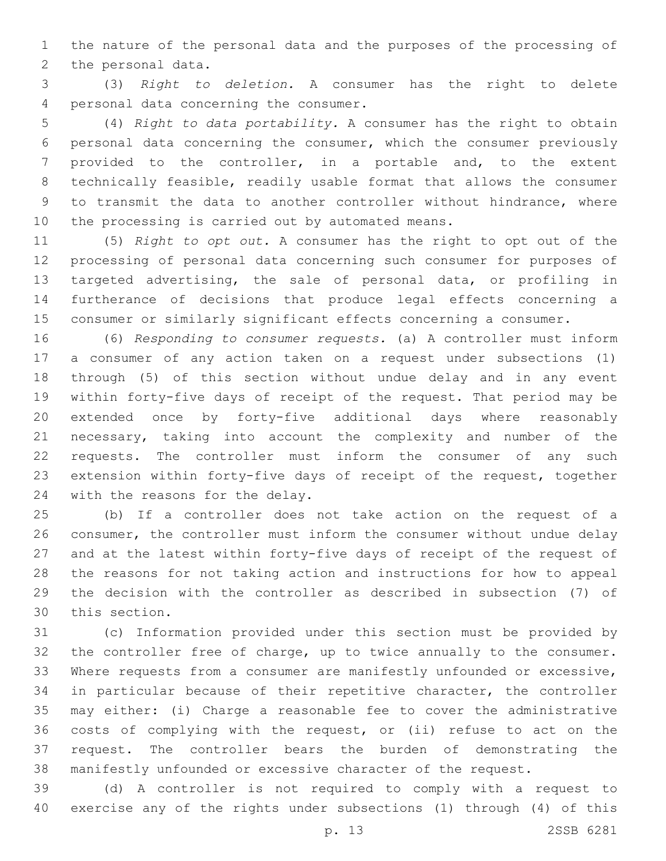the nature of the personal data and the purposes of the processing of 2 the personal data.

 (3) *Right to deletion.* A consumer has the right to delete 4 personal data concerning the consumer.

 (4) *Right to data portability.* A consumer has the right to obtain personal data concerning the consumer, which the consumer previously provided to the controller, in a portable and, to the extent technically feasible, readily usable format that allows the consumer to transmit the data to another controller without hindrance, where 10 the processing is carried out by automated means.

 (5) *Right to opt out.* A consumer has the right to opt out of the processing of personal data concerning such consumer for purposes of targeted advertising, the sale of personal data, or profiling in furtherance of decisions that produce legal effects concerning a consumer or similarly significant effects concerning a consumer.

 (6) *Responding to consumer requests.* (a) A controller must inform a consumer of any action taken on a request under subsections (1) through (5) of this section without undue delay and in any event within forty-five days of receipt of the request. That period may be extended once by forty-five additional days where reasonably necessary, taking into account the complexity and number of the requests. The controller must inform the consumer of any such extension within forty-five days of receipt of the request, together 24 with the reasons for the delay.

 (b) If a controller does not take action on the request of a consumer, the controller must inform the consumer without undue delay and at the latest within forty-five days of receipt of the request of the reasons for not taking action and instructions for how to appeal the decision with the controller as described in subsection (7) of 30 this section.

 (c) Information provided under this section must be provided by the controller free of charge, up to twice annually to the consumer. Where requests from a consumer are manifestly unfounded or excessive, in particular because of their repetitive character, the controller may either: (i) Charge a reasonable fee to cover the administrative costs of complying with the request, or (ii) refuse to act on the request. The controller bears the burden of demonstrating the manifestly unfounded or excessive character of the request.

 (d) A controller is not required to comply with a request to exercise any of the rights under subsections (1) through (4) of this

p. 13 2SSB 6281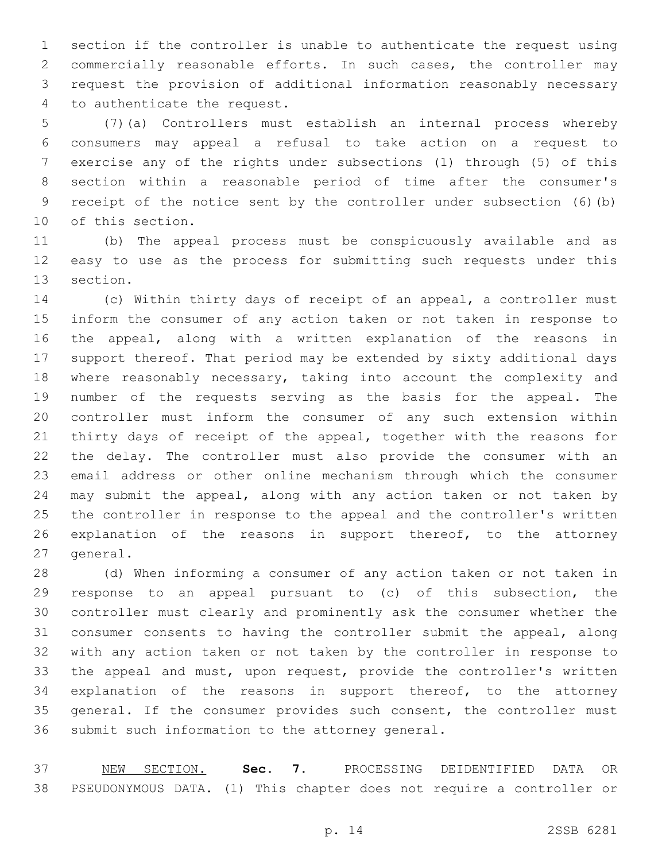section if the controller is unable to authenticate the request using commercially reasonable efforts. In such cases, the controller may request the provision of additional information reasonably necessary 4 to authenticate the request.

 (7)(a) Controllers must establish an internal process whereby consumers may appeal a refusal to take action on a request to exercise any of the rights under subsections (1) through (5) of this section within a reasonable period of time after the consumer's receipt of the notice sent by the controller under subsection (6)(b) 10 of this section.

 (b) The appeal process must be conspicuously available and as easy to use as the process for submitting such requests under this 13 section.

 (c) Within thirty days of receipt of an appeal, a controller must inform the consumer of any action taken or not taken in response to the appeal, along with a written explanation of the reasons in support thereof. That period may be extended by sixty additional days where reasonably necessary, taking into account the complexity and number of the requests serving as the basis for the appeal. The controller must inform the consumer of any such extension within thirty days of receipt of the appeal, together with the reasons for the delay. The controller must also provide the consumer with an email address or other online mechanism through which the consumer may submit the appeal, along with any action taken or not taken by the controller in response to the appeal and the controller's written explanation of the reasons in support thereof, to the attorney 27 general.

 (d) When informing a consumer of any action taken or not taken in response to an appeal pursuant to (c) of this subsection, the controller must clearly and prominently ask the consumer whether the consumer consents to having the controller submit the appeal, along with any action taken or not taken by the controller in response to the appeal and must, upon request, provide the controller's written explanation of the reasons in support thereof, to the attorney 35 general. If the consumer provides such consent, the controller must 36 submit such information to the attorney general.

 NEW SECTION. **Sec. 7.** PROCESSING DEIDENTIFIED DATA OR PSEUDONYMOUS DATA. (1) This chapter does not require a controller or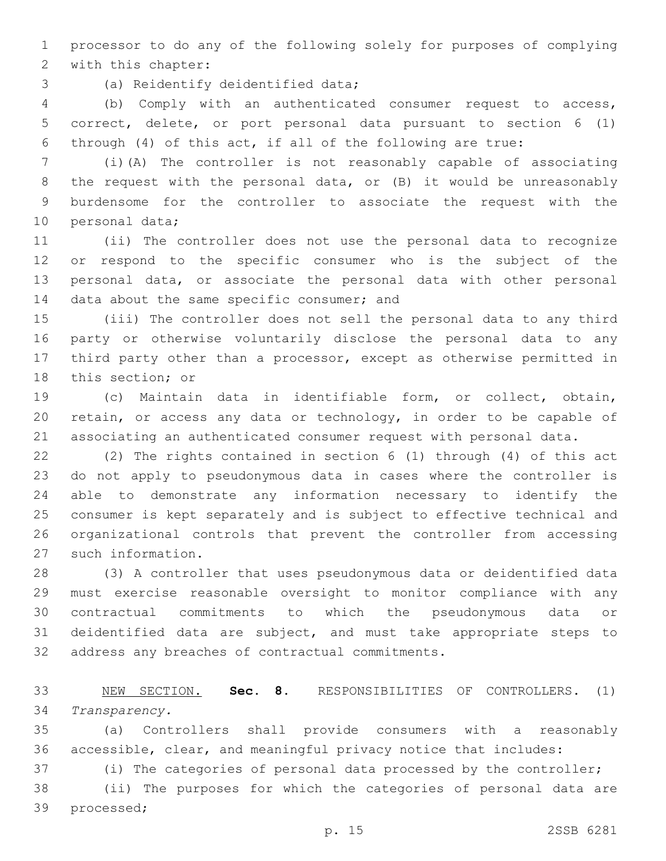processor to do any of the following solely for purposes of complying 2 with this chapter:

3 (a) Reidentify deidentified data;

 (b) Comply with an authenticated consumer request to access, correct, delete, or port personal data pursuant to section 6 (1) through (4) of this act, if all of the following are true:

 (i)(A) The controller is not reasonably capable of associating the request with the personal data, or (B) it would be unreasonably burdensome for the controller to associate the request with the 10 personal data;

 (ii) The controller does not use the personal data to recognize or respond to the specific consumer who is the subject of the personal data, or associate the personal data with other personal 14 data about the same specific consumer; and

 (iii) The controller does not sell the personal data to any third party or otherwise voluntarily disclose the personal data to any third party other than a processor, except as otherwise permitted in 18 this section; or

 (c) Maintain data in identifiable form, or collect, obtain, retain, or access any data or technology, in order to be capable of associating an authenticated consumer request with personal data.

 (2) The rights contained in section 6 (1) through (4) of this act do not apply to pseudonymous data in cases where the controller is able to demonstrate any information necessary to identify the consumer is kept separately and is subject to effective technical and organizational controls that prevent the controller from accessing 27 such information.

 (3) A controller that uses pseudonymous data or deidentified data must exercise reasonable oversight to monitor compliance with any contractual commitments to which the pseudonymous data or deidentified data are subject, and must take appropriate steps to 32 address any breaches of contractual commitments.

 NEW SECTION. **Sec. 8.** RESPONSIBILITIES OF CONTROLLERS. (1) *Transparency.*

 (a) Controllers shall provide consumers with a reasonably accessible, clear, and meaningful privacy notice that includes:

(i) The categories of personal data processed by the controller;

 (ii) The purposes for which the categories of personal data are 39 processed;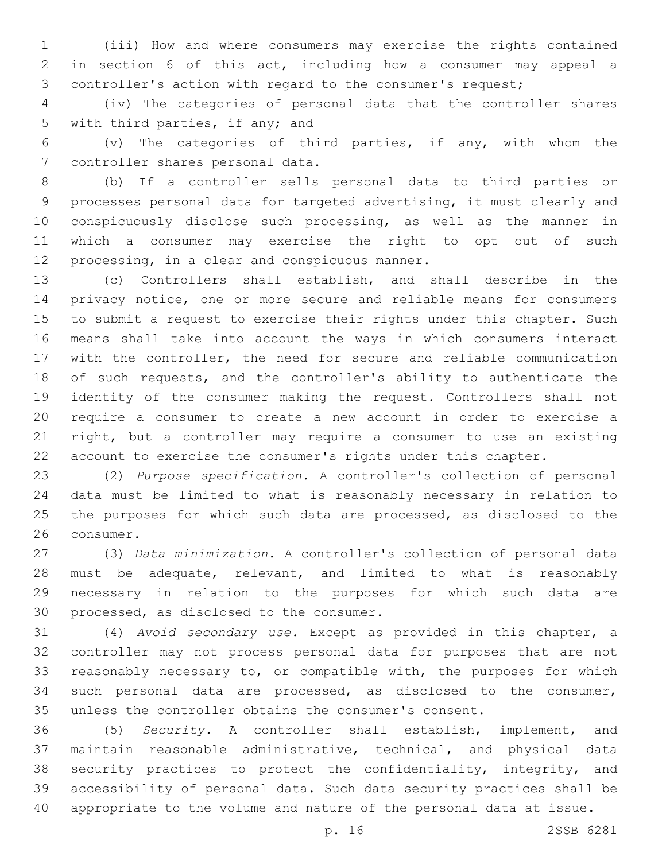(iii) How and where consumers may exercise the rights contained in section 6 of this act, including how a consumer may appeal a controller's action with regard to the consumer's request;

 (iv) The categories of personal data that the controller shares 5 with third parties, if any; and

 (v) The categories of third parties, if any, with whom the 7 controller shares personal data.

 (b) If a controller sells personal data to third parties or processes personal data for targeted advertising, it must clearly and conspicuously disclose such processing, as well as the manner in which a consumer may exercise the right to opt out of such 12 processing, in a clear and conspicuous manner.

 (c) Controllers shall establish, and shall describe in the privacy notice, one or more secure and reliable means for consumers to submit a request to exercise their rights under this chapter. Such means shall take into account the ways in which consumers interact with the controller, the need for secure and reliable communication of such requests, and the controller's ability to authenticate the identity of the consumer making the request. Controllers shall not require a consumer to create a new account in order to exercise a right, but a controller may require a consumer to use an existing account to exercise the consumer's rights under this chapter.

 (2) *Purpose specification.* A controller's collection of personal data must be limited to what is reasonably necessary in relation to the purposes for which such data are processed, as disclosed to the 26 consumer.

 (3) *Data minimization.* A controller's collection of personal data must be adequate, relevant, and limited to what is reasonably necessary in relation to the purposes for which such data are 30 processed, as disclosed to the consumer.

 (4) *Avoid secondary use.* Except as provided in this chapter, a controller may not process personal data for purposes that are not reasonably necessary to, or compatible with, the purposes for which such personal data are processed, as disclosed to the consumer, unless the controller obtains the consumer's consent.

 (5) *Security.* A controller shall establish, implement, and maintain reasonable administrative, technical, and physical data 38 security practices to protect the confidentiality, integrity, and accessibility of personal data. Such data security practices shall be appropriate to the volume and nature of the personal data at issue.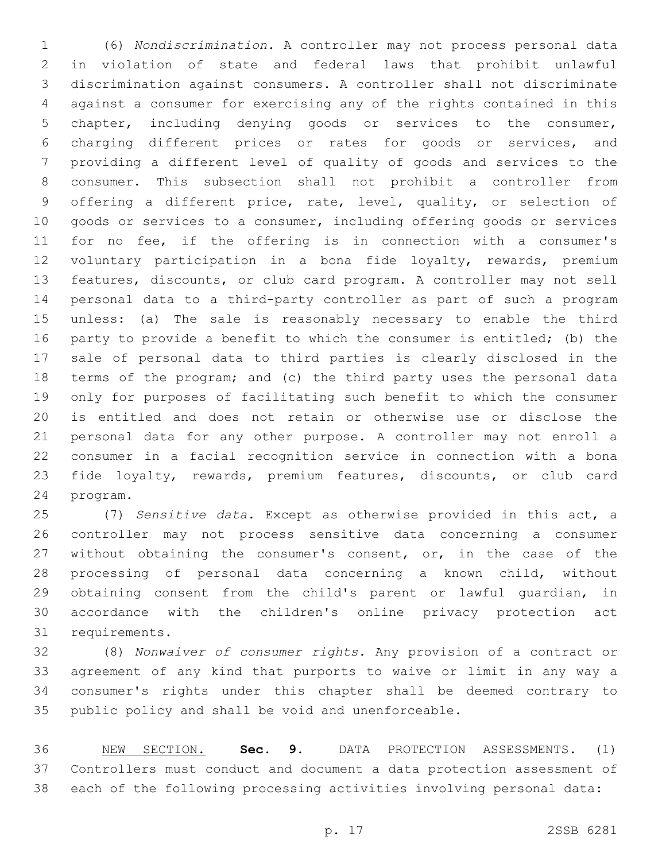(6) *Nondiscrimination.* A controller may not process personal data in violation of state and federal laws that prohibit unlawful discrimination against consumers. A controller shall not discriminate against a consumer for exercising any of the rights contained in this chapter, including denying goods or services to the consumer, charging different prices or rates for goods or services, and providing a different level of quality of goods and services to the consumer. This subsection shall not prohibit a controller from offering a different price, rate, level, quality, or selection of goods or services to a consumer, including offering goods or services for no fee, if the offering is in connection with a consumer's voluntary participation in a bona fide loyalty, rewards, premium features, discounts, or club card program. A controller may not sell personal data to a third-party controller as part of such a program unless: (a) The sale is reasonably necessary to enable the third party to provide a benefit to which the consumer is entitled; (b) the sale of personal data to third parties is clearly disclosed in the terms of the program; and (c) the third party uses the personal data only for purposes of facilitating such benefit to which the consumer is entitled and does not retain or otherwise use or disclose the personal data for any other purpose. A controller may not enroll a consumer in a facial recognition service in connection with a bona fide loyalty, rewards, premium features, discounts, or club card 24 program.

 (7) *Sensitive data.* Except as otherwise provided in this act, a controller may not process sensitive data concerning a consumer 27 without obtaining the consumer's consent, or, in the case of the processing of personal data concerning a known child, without obtaining consent from the child's parent or lawful guardian, in accordance with the children's online privacy protection act 31 requirements.

 (8) *Nonwaiver of consumer rights.* Any provision of a contract or agreement of any kind that purports to waive or limit in any way a consumer's rights under this chapter shall be deemed contrary to public policy and shall be void and unenforceable.

 NEW SECTION. **Sec. 9.** DATA PROTECTION ASSESSMENTS. (1) Controllers must conduct and document a data protection assessment of each of the following processing activities involving personal data: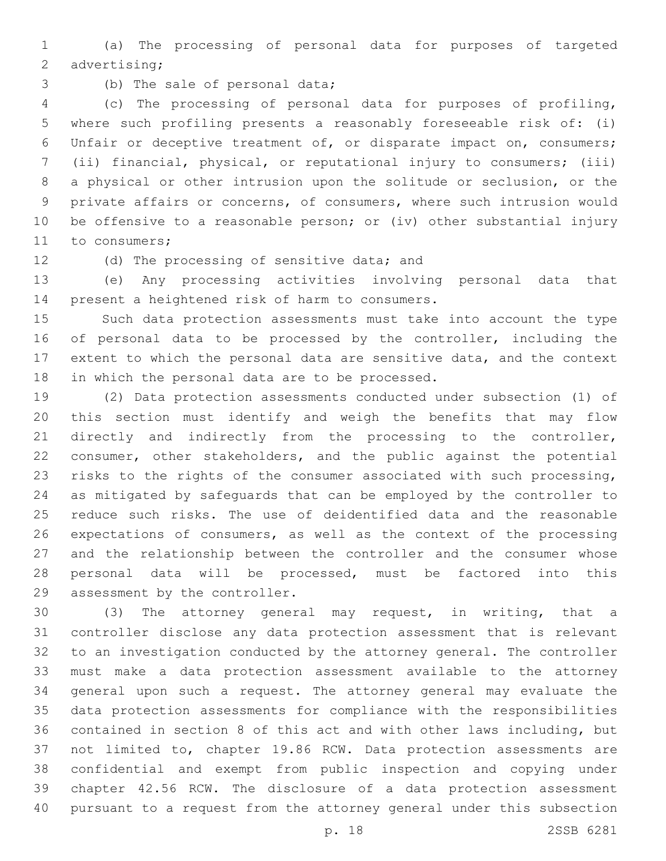(a) The processing of personal data for purposes of targeted 2 advertising;

3 (b) The sale of personal data;

 (c) The processing of personal data for purposes of profiling, where such profiling presents a reasonably foreseeable risk of: (i) Unfair or deceptive treatment of, or disparate impact on, consumers; (ii) financial, physical, or reputational injury to consumers; (iii) a physical or other intrusion upon the solitude or seclusion, or the private affairs or concerns, of consumers, where such intrusion would be offensive to a reasonable person; or (iv) other substantial injury 11 to consumers;

12 (d) The processing of sensitive data; and

 (e) Any processing activities involving personal data that 14 present a heightened risk of harm to consumers.

 Such data protection assessments must take into account the type of personal data to be processed by the controller, including the extent to which the personal data are sensitive data, and the context 18 in which the personal data are to be processed.

 (2) Data protection assessments conducted under subsection (1) of this section must identify and weigh the benefits that may flow directly and indirectly from the processing to the controller, consumer, other stakeholders, and the public against the potential risks to the rights of the consumer associated with such processing, as mitigated by safeguards that can be employed by the controller to reduce such risks. The use of deidentified data and the reasonable expectations of consumers, as well as the context of the processing and the relationship between the controller and the consumer whose personal data will be processed, must be factored into this 29 assessment by the controller.

 (3) The attorney general may request, in writing, that a controller disclose any data protection assessment that is relevant to an investigation conducted by the attorney general. The controller must make a data protection assessment available to the attorney general upon such a request. The attorney general may evaluate the data protection assessments for compliance with the responsibilities contained in section 8 of this act and with other laws including, but not limited to, chapter 19.86 RCW. Data protection assessments are confidential and exempt from public inspection and copying under chapter 42.56 RCW. The disclosure of a data protection assessment pursuant to a request from the attorney general under this subsection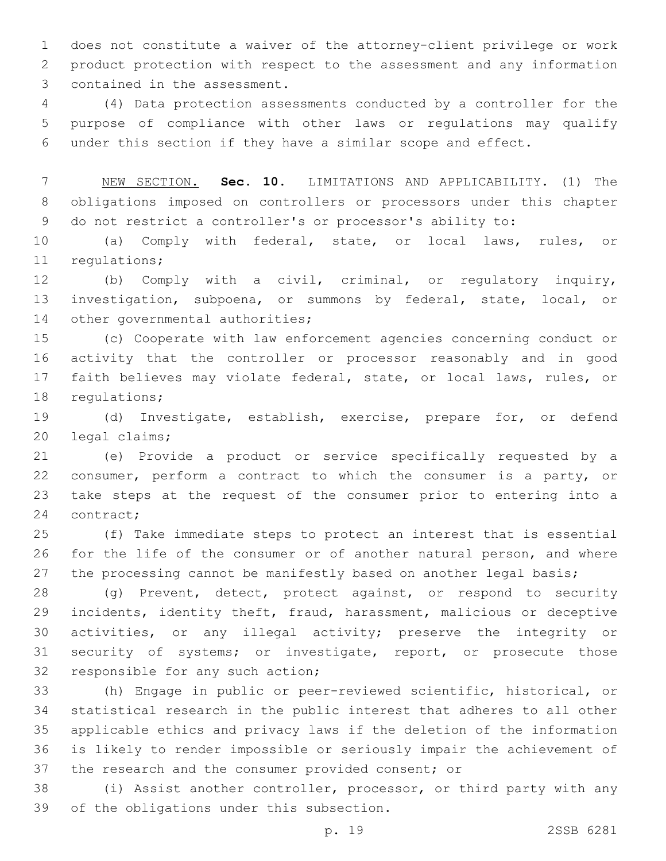does not constitute a waiver of the attorney-client privilege or work product protection with respect to the assessment and any information 3 contained in the assessment.

 (4) Data protection assessments conducted by a controller for the purpose of compliance with other laws or regulations may qualify under this section if they have a similar scope and effect.

 NEW SECTION. **Sec. 10.** LIMITATIONS AND APPLICABILITY. (1) The obligations imposed on controllers or processors under this chapter do not restrict a controller's or processor's ability to:

 (a) Comply with federal, state, or local laws, rules, or 11 regulations;

 (b) Comply with a civil, criminal, or regulatory inquiry, investigation, subpoena, or summons by federal, state, local, or 14 other governmental authorities;

 (c) Cooperate with law enforcement agencies concerning conduct or activity that the controller or processor reasonably and in good faith believes may violate federal, state, or local laws, rules, or 18 regulations;

 (d) Investigate, establish, exercise, prepare for, or defend 20 legal claims;

 (e) Provide a product or service specifically requested by a consumer, perform a contract to which the consumer is a party, or take steps at the request of the consumer prior to entering into a 24 contract;

 (f) Take immediate steps to protect an interest that is essential for the life of the consumer or of another natural person, and where 27 the processing cannot be manifestly based on another legal basis;

 (g) Prevent, detect, protect against, or respond to security incidents, identity theft, fraud, harassment, malicious or deceptive activities, or any illegal activity; preserve the integrity or security of systems; or investigate, report, or prosecute those 32 responsible for any such action;

 (h) Engage in public or peer-reviewed scientific, historical, or statistical research in the public interest that adheres to all other applicable ethics and privacy laws if the deletion of the information is likely to render impossible or seriously impair the achievement of the research and the consumer provided consent; or

 (i) Assist another controller, processor, or third party with any 39 of the obligations under this subsection.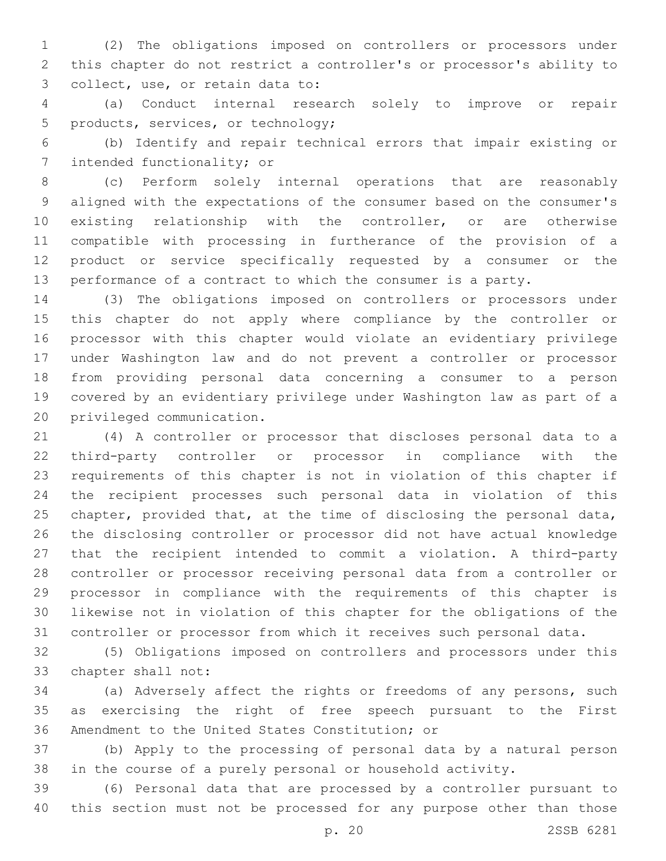(2) The obligations imposed on controllers or processors under this chapter do not restrict a controller's or processor's ability to 3 collect, use, or retain data to:

 (a) Conduct internal research solely to improve or repair 5 products, services, or technology;

 (b) Identify and repair technical errors that impair existing or 7 intended functionality; or

 (c) Perform solely internal operations that are reasonably aligned with the expectations of the consumer based on the consumer's existing relationship with the controller, or are otherwise compatible with processing in furtherance of the provision of a product or service specifically requested by a consumer or the performance of a contract to which the consumer is a party.

 (3) The obligations imposed on controllers or processors under this chapter do not apply where compliance by the controller or processor with this chapter would violate an evidentiary privilege under Washington law and do not prevent a controller or processor from providing personal data concerning a consumer to a person covered by an evidentiary privilege under Washington law as part of a 20 privileged communication.

 (4) A controller or processor that discloses personal data to a third-party controller or processor in compliance with the requirements of this chapter is not in violation of this chapter if the recipient processes such personal data in violation of this chapter, provided that, at the time of disclosing the personal data, the disclosing controller or processor did not have actual knowledge that the recipient intended to commit a violation. A third-party controller or processor receiving personal data from a controller or processor in compliance with the requirements of this chapter is likewise not in violation of this chapter for the obligations of the controller or processor from which it receives such personal data.

 (5) Obligations imposed on controllers and processors under this 33 chapter shall not:

 (a) Adversely affect the rights or freedoms of any persons, such as exercising the right of free speech pursuant to the First 36 Amendment to the United States Constitution; or

 (b) Apply to the processing of personal data by a natural person in the course of a purely personal or household activity.

 (6) Personal data that are processed by a controller pursuant to this section must not be processed for any purpose other than those

p. 20 2SSB 6281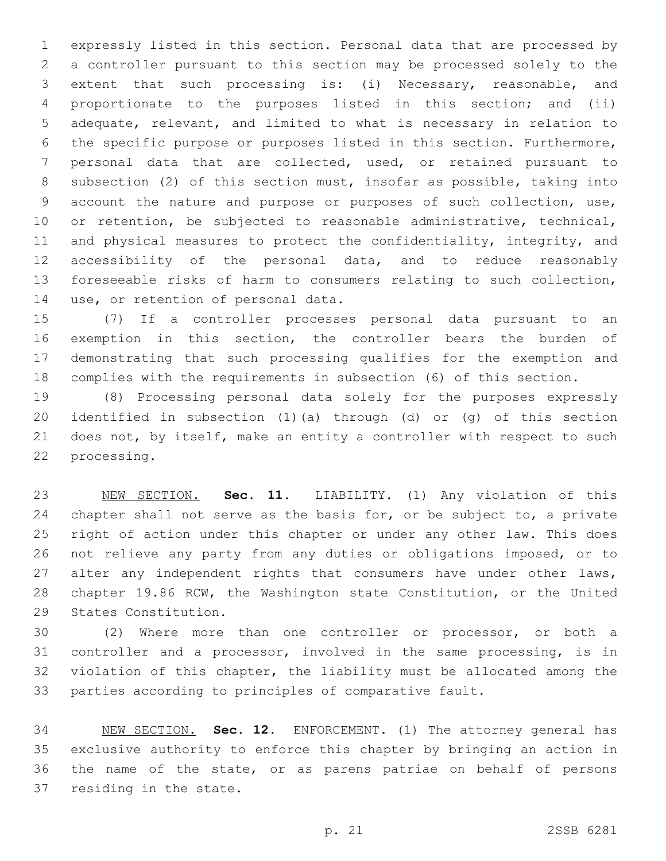expressly listed in this section. Personal data that are processed by a controller pursuant to this section may be processed solely to the extent that such processing is: (i) Necessary, reasonable, and proportionate to the purposes listed in this section; and (ii) adequate, relevant, and limited to what is necessary in relation to the specific purpose or purposes listed in this section. Furthermore, personal data that are collected, used, or retained pursuant to subsection (2) of this section must, insofar as possible, taking into account the nature and purpose or purposes of such collection, use, or retention, be subjected to reasonable administrative, technical, and physical measures to protect the confidentiality, integrity, and accessibility of the personal data, and to reduce reasonably foreseeable risks of harm to consumers relating to such collection, 14 use, or retention of personal data.

 (7) If a controller processes personal data pursuant to an exemption in this section, the controller bears the burden of demonstrating that such processing qualifies for the exemption and complies with the requirements in subsection (6) of this section.

 (8) Processing personal data solely for the purposes expressly identified in subsection (1)(a) through (d) or (g) of this section does not, by itself, make an entity a controller with respect to such 22 processing.

 NEW SECTION. **Sec. 11.** LIABILITY. (1) Any violation of this 24 chapter shall not serve as the basis for, or be subject to, a private right of action under this chapter or under any other law. This does not relieve any party from any duties or obligations imposed, or to 27 alter any independent rights that consumers have under other laws, chapter 19.86 RCW, the Washington state Constitution, or the United States Constitution.

 (2) Where more than one controller or processor, or both a controller and a processor, involved in the same processing, is in violation of this chapter, the liability must be allocated among the parties according to principles of comparative fault.

 NEW SECTION. **Sec. 12.** ENFORCEMENT. (1) The attorney general has exclusive authority to enforce this chapter by bringing an action in the name of the state, or as parens patriae on behalf of persons residing in the state.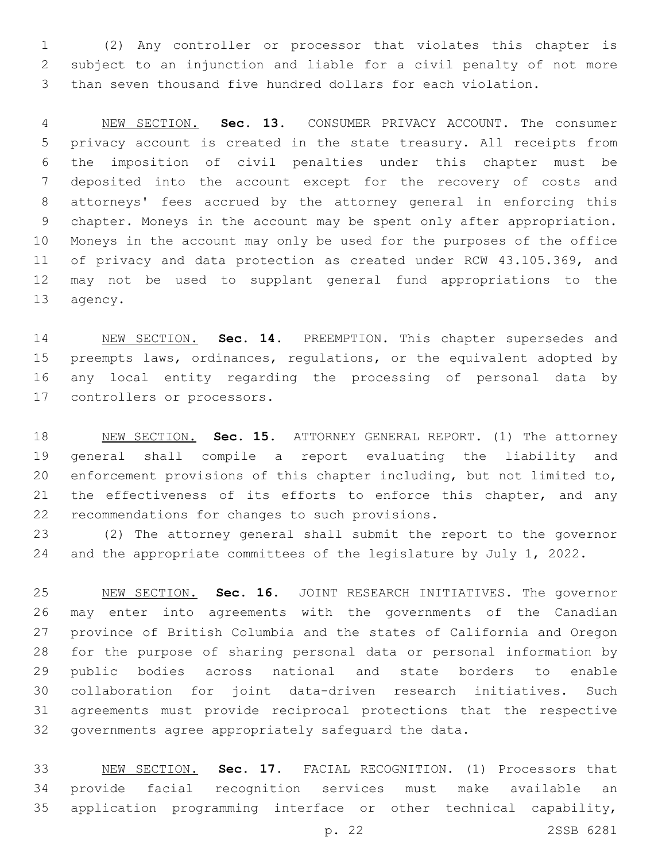(2) Any controller or processor that violates this chapter is subject to an injunction and liable for a civil penalty of not more than seven thousand five hundred dollars for each violation.

 NEW SECTION. **Sec. 13.** CONSUMER PRIVACY ACCOUNT. The consumer privacy account is created in the state treasury. All receipts from the imposition of civil penalties under this chapter must be deposited into the account except for the recovery of costs and attorneys' fees accrued by the attorney general in enforcing this chapter. Moneys in the account may be spent only after appropriation. Moneys in the account may only be used for the purposes of the office of privacy and data protection as created under RCW 43.105.369, and may not be used to supplant general fund appropriations to the agency.

 NEW SECTION. **Sec. 14.** PREEMPTION. This chapter supersedes and preempts laws, ordinances, regulations, or the equivalent adopted by any local entity regarding the processing of personal data by controllers or processors.

 NEW SECTION. **Sec. 15.** ATTORNEY GENERAL REPORT. (1) The attorney general shall compile a report evaluating the liability and enforcement provisions of this chapter including, but not limited to, 21 the effectiveness of its efforts to enforce this chapter, and any recommendations for changes to such provisions.

 (2) The attorney general shall submit the report to the governor and the appropriate committees of the legislature by July 1, 2022.

 NEW SECTION. **Sec. 16.** JOINT RESEARCH INITIATIVES. The governor may enter into agreements with the governments of the Canadian province of British Columbia and the states of California and Oregon for the purpose of sharing personal data or personal information by public bodies across national and state borders to enable collaboration for joint data-driven research initiatives. Such agreements must provide reciprocal protections that the respective governments agree appropriately safeguard the data.

 NEW SECTION. **Sec. 17.** FACIAL RECOGNITION. (1) Processors that provide facial recognition services must make available an application programming interface or other technical capability,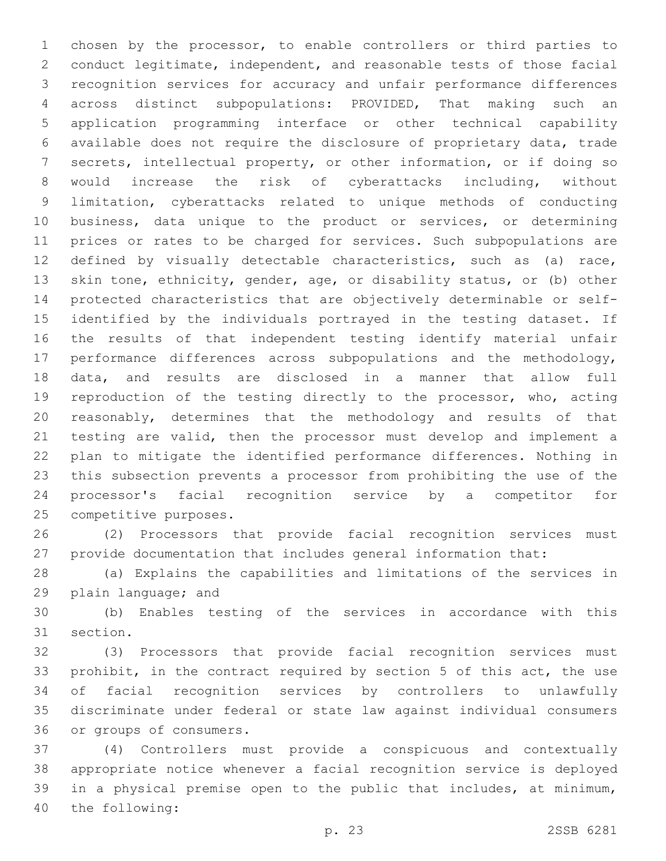chosen by the processor, to enable controllers or third parties to conduct legitimate, independent, and reasonable tests of those facial recognition services for accuracy and unfair performance differences across distinct subpopulations: PROVIDED, That making such an application programming interface or other technical capability available does not require the disclosure of proprietary data, trade secrets, intellectual property, or other information, or if doing so would increase the risk of cyberattacks including, without limitation, cyberattacks related to unique methods of conducting business, data unique to the product or services, or determining prices or rates to be charged for services. Such subpopulations are defined by visually detectable characteristics, such as (a) race, skin tone, ethnicity, gender, age, or disability status, or (b) other protected characteristics that are objectively determinable or self- identified by the individuals portrayed in the testing dataset. If the results of that independent testing identify material unfair performance differences across subpopulations and the methodology, data, and results are disclosed in a manner that allow full reproduction of the testing directly to the processor, who, acting reasonably, determines that the methodology and results of that testing are valid, then the processor must develop and implement a plan to mitigate the identified performance differences. Nothing in this subsection prevents a processor from prohibiting the use of the processor's facial recognition service by a competitor for 25 competitive purposes.

 (2) Processors that provide facial recognition services must provide documentation that includes general information that:

 (a) Explains the capabilities and limitations of the services in 29 plain language; and

 (b) Enables testing of the services in accordance with this 31 section.

 (3) Processors that provide facial recognition services must prohibit, in the contract required by section 5 of this act, the use of facial recognition services by controllers to unlawfully discriminate under federal or state law against individual consumers 36 or groups of consumers.

 (4) Controllers must provide a conspicuous and contextually appropriate notice whenever a facial recognition service is deployed in a physical premise open to the public that includes, at minimum, 40 the following: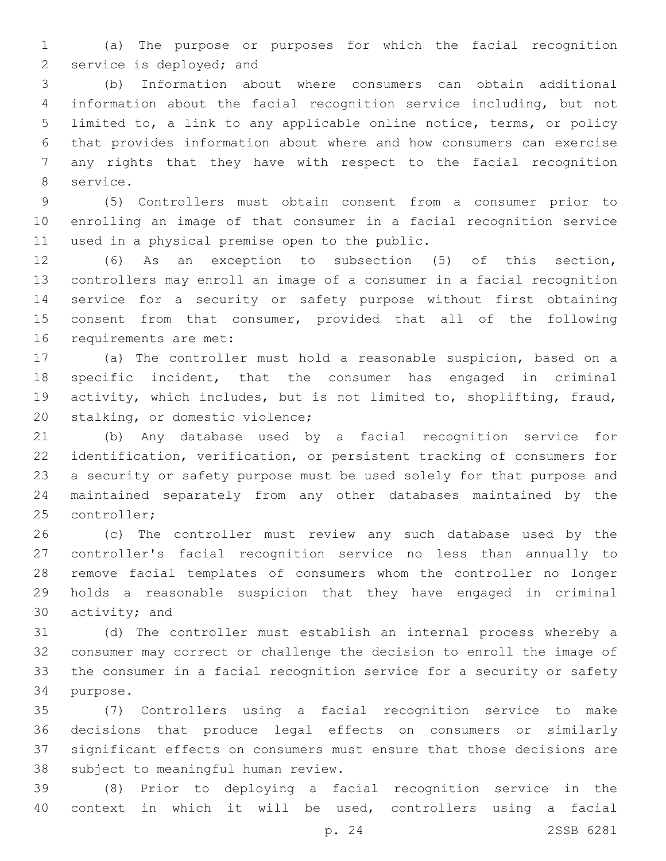(a) The purpose or purposes for which the facial recognition 2 service is deployed; and

 (b) Information about where consumers can obtain additional information about the facial recognition service including, but not limited to, a link to any applicable online notice, terms, or policy that provides information about where and how consumers can exercise any rights that they have with respect to the facial recognition 8 service.

 (5) Controllers must obtain consent from a consumer prior to enrolling an image of that consumer in a facial recognition service 11 used in a physical premise open to the public.

 (6) As an exception to subsection (5) of this section, controllers may enroll an image of a consumer in a facial recognition service for a security or safety purpose without first obtaining consent from that consumer, provided that all of the following 16 requirements are met:

 (a) The controller must hold a reasonable suspicion, based on a specific incident, that the consumer has engaged in criminal activity, which includes, but is not limited to, shoplifting, fraud, 20 stalking, or domestic violence;

 (b) Any database used by a facial recognition service for identification, verification, or persistent tracking of consumers for a security or safety purpose must be used solely for that purpose and maintained separately from any other databases maintained by the 25 controller;

 (c) The controller must review any such database used by the controller's facial recognition service no less than annually to remove facial templates of consumers whom the controller no longer holds a reasonable suspicion that they have engaged in criminal activity; and

 (d) The controller must establish an internal process whereby a consumer may correct or challenge the decision to enroll the image of the consumer in a facial recognition service for a security or safety 34 purpose.

 (7) Controllers using a facial recognition service to make decisions that produce legal effects on consumers or similarly significant effects on consumers must ensure that those decisions are 38 subject to meaningful human review.

 (8) Prior to deploying a facial recognition service in the context in which it will be used, controllers using a facial

p. 24 2SSB 6281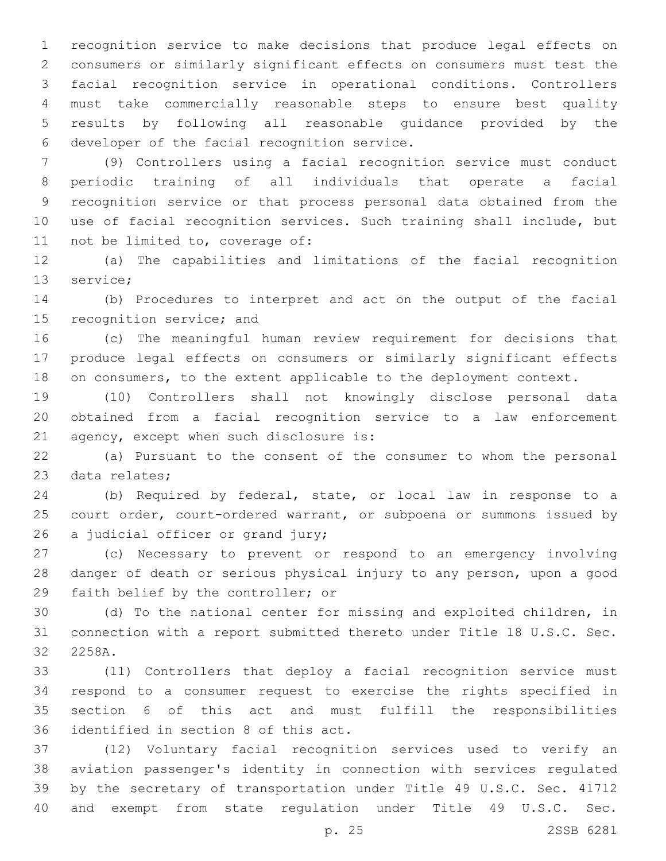recognition service to make decisions that produce legal effects on consumers or similarly significant effects on consumers must test the facial recognition service in operational conditions. Controllers must take commercially reasonable steps to ensure best quality results by following all reasonable guidance provided by the 6 developer of the facial recognition service.

 (9) Controllers using a facial recognition service must conduct periodic training of all individuals that operate a facial recognition service or that process personal data obtained from the use of facial recognition services. Such training shall include, but 11 not be limited to, coverage of:

 (a) The capabilities and limitations of the facial recognition 13 service;

 (b) Procedures to interpret and act on the output of the facial 15 recognition service; and

 (c) The meaningful human review requirement for decisions that produce legal effects on consumers or similarly significant effects 18 on consumers, to the extent applicable to the deployment context.

 (10) Controllers shall not knowingly disclose personal data obtained from a facial recognition service to a law enforcement 21 agency, except when such disclosure is:

 (a) Pursuant to the consent of the consumer to whom the personal 23 data relates;

 (b) Required by federal, state, or local law in response to a court order, court-ordered warrant, or subpoena or summons issued by 26 a judicial officer or grand jury;

 (c) Necessary to prevent or respond to an emergency involving danger of death or serious physical injury to any person, upon a good 29 faith belief by the controller; or

 (d) To the national center for missing and exploited children, in connection with a report submitted thereto under Title 18 U.S.C. Sec. 32 2258A.

 (11) Controllers that deploy a facial recognition service must respond to a consumer request to exercise the rights specified in section 6 of this act and must fulfill the responsibilities 36 identified in section 8 of this act.

 (12) Voluntary facial recognition services used to verify an aviation passenger's identity in connection with services regulated by the secretary of transportation under Title 49 U.S.C. Sec. 41712 and exempt from state regulation under Title 49 U.S.C. Sec.

p. 25 2SSB 6281